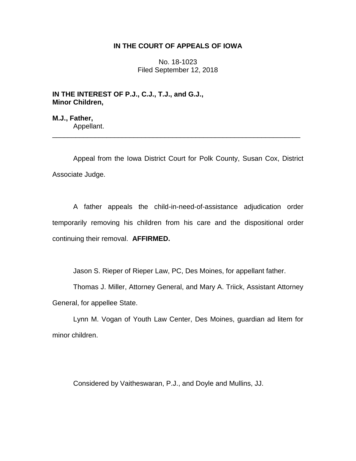# **IN THE COURT OF APPEALS OF IOWA**

No. 18-1023 Filed September 12, 2018

**IN THE INTEREST OF P.J., C.J., T.J., and G.J., Minor Children,**

**M.J., Father,** Appellant. \_\_\_\_\_\_\_\_\_\_\_\_\_\_\_\_\_\_\_\_\_\_\_\_\_\_\_\_\_\_\_\_\_\_\_\_\_\_\_\_\_\_\_\_\_\_\_\_\_\_\_\_\_\_\_\_\_\_\_\_\_\_\_\_

Appeal from the Iowa District Court for Polk County, Susan Cox, District Associate Judge.

A father appeals the child-in-need-of-assistance adjudication order temporarily removing his children from his care and the dispositional order continuing their removal. **AFFIRMED.**

Jason S. Rieper of Rieper Law, PC, Des Moines, for appellant father.

Thomas J. Miller, Attorney General, and Mary A. Triick, Assistant Attorney General, for appellee State.

Lynn M. Vogan of Youth Law Center, Des Moines, guardian ad litem for minor children.

Considered by Vaitheswaran, P.J., and Doyle and Mullins, JJ.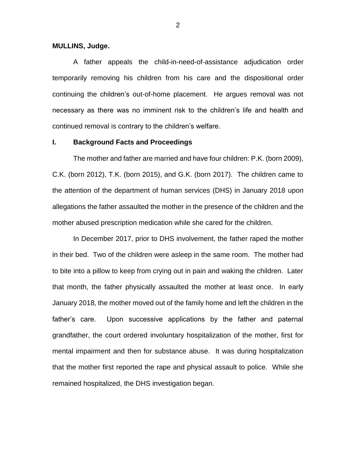### **MULLINS, Judge.**

A father appeals the child-in-need-of-assistance adjudication order temporarily removing his children from his care and the dispositional order continuing the children's out-of-home placement. He argues removal was not necessary as there was no imminent risk to the children's life and health and continued removal is contrary to the children's welfare.

# **I. Background Facts and Proceedings**

The mother and father are married and have four children: P.K. (born 2009), C.K. (born 2012), T.K. (born 2015), and G.K. (born 2017). The children came to the attention of the department of human services (DHS) in January 2018 upon allegations the father assaulted the mother in the presence of the children and the mother abused prescription medication while she cared for the children.

In December 2017, prior to DHS involvement, the father raped the mother in their bed. Two of the children were asleep in the same room. The mother had to bite into a pillow to keep from crying out in pain and waking the children. Later that month, the father physically assaulted the mother at least once. In early January 2018, the mother moved out of the family home and left the children in the father's care. Upon successive applications by the father and paternal grandfather, the court ordered involuntary hospitalization of the mother, first for mental impairment and then for substance abuse. It was during hospitalization that the mother first reported the rape and physical assault to police. While she remained hospitalized, the DHS investigation began.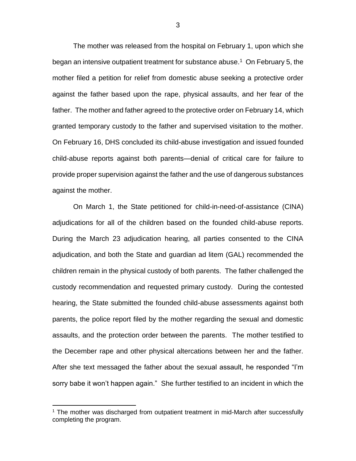The mother was released from the hospital on February 1, upon which she began an intensive outpatient treatment for substance abuse.<sup>1</sup> On February 5, the mother filed a petition for relief from domestic abuse seeking a protective order against the father based upon the rape, physical assaults, and her fear of the father. The mother and father agreed to the protective order on February 14, which granted temporary custody to the father and supervised visitation to the mother. On February 16, DHS concluded its child-abuse investigation and issued founded child-abuse reports against both parents—denial of critical care for failure to provide proper supervision against the father and the use of dangerous substances against the mother.

On March 1, the State petitioned for child-in-need-of-assistance (CINA) adjudications for all of the children based on the founded child-abuse reports. During the March 23 adjudication hearing, all parties consented to the CINA adjudication, and both the State and guardian ad litem (GAL) recommended the children remain in the physical custody of both parents. The father challenged the custody recommendation and requested primary custody. During the contested hearing, the State submitted the founded child-abuse assessments against both parents, the police report filed by the mother regarding the sexual and domestic assaults, and the protection order between the parents. The mother testified to the December rape and other physical altercations between her and the father. After she text messaged the father about the sexual assault, he responded "I'm sorry babe it won't happen again." She further testified to an incident in which the

 $\overline{a}$ 

<sup>&</sup>lt;sup>1</sup> The mother was discharged from outpatient treatment in mid-March after successfully completing the program.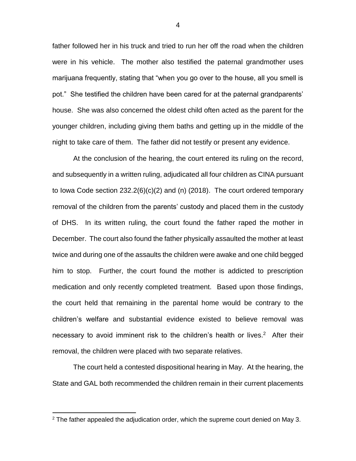father followed her in his truck and tried to run her off the road when the children were in his vehicle. The mother also testified the paternal grandmother uses marijuana frequently, stating that "when you go over to the house, all you smell is pot." She testified the children have been cared for at the paternal grandparents' house. She was also concerned the oldest child often acted as the parent for the younger children, including giving them baths and getting up in the middle of the night to take care of them. The father did not testify or present any evidence.

At the conclusion of the hearing, the court entered its ruling on the record, and subsequently in a written ruling, adjudicated all four children as CINA pursuant to Iowa Code section 232.2(6)(c)(2) and (n) (2018). The court ordered temporary removal of the children from the parents' custody and placed them in the custody of DHS. In its written ruling, the court found the father raped the mother in December. The court also found the father physically assaulted the mother at least twice and during one of the assaults the children were awake and one child begged him to stop. Further, the court found the mother is addicted to prescription medication and only recently completed treatment. Based upon those findings, the court held that remaining in the parental home would be contrary to the children's welfare and substantial evidence existed to believe removal was necessary to avoid imminent risk to the children's health or lives. 2 After their removal, the children were placed with two separate relatives.

The court held a contested dispositional hearing in May. At the hearing, the State and GAL both recommended the children remain in their current placements

 $\overline{a}$ 

4

 $2$  The father appealed the adjudication order, which the supreme court denied on May 3.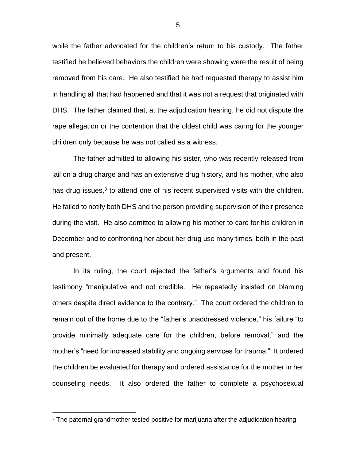while the father advocated for the children's return to his custody. The father testified he believed behaviors the children were showing were the result of being removed from his care. He also testified he had requested therapy to assist him in handling all that had happened and that it was not a request that originated with DHS. The father claimed that, at the adjudication hearing, he did not dispute the rape allegation or the contention that the oldest child was caring for the younger children only because he was not called as a witness.

The father admitted to allowing his sister, who was recently released from jail on a drug charge and has an extensive drug history, and his mother, who also has drug issues,<sup>3</sup> to attend one of his recent supervised visits with the children. He failed to notify both DHS and the person providing supervision of their presence during the visit. He also admitted to allowing his mother to care for his children in December and to confronting her about her drug use many times, both in the past and present.

In its ruling, the court rejected the father's arguments and found his testimony "manipulative and not credible. He repeatedly insisted on blaming others despite direct evidence to the contrary." The court ordered the children to remain out of the home due to the "father's unaddressed violence," his failure "to provide minimally adequate care for the children, before removal," and the mother's "need for increased stability and ongoing services for trauma." It ordered the children be evaluated for therapy and ordered assistance for the mother in her counseling needs. It also ordered the father to complete a psychosexual

 $\overline{a}$ 

5

 $3$  The paternal grandmother tested positive for marijuana after the adjudication hearing.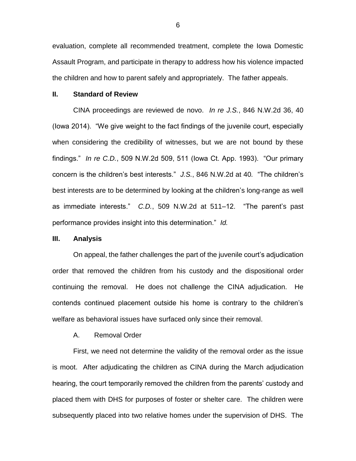evaluation, complete all recommended treatment, complete the Iowa Domestic Assault Program, and participate in therapy to address how his violence impacted the children and how to parent safely and appropriately. The father appeals.

## **II. Standard of Review**

CINA proceedings are reviewed de novo. *In re J.S.*, 846 N.W.2d 36, 40 (Iowa 2014). "We give weight to the fact findings of the juvenile court, especially when considering the credibility of witnesses, but we are not bound by these findings." *In re C.D.*, 509 N.W.2d 509, 511 (Iowa Ct. App. 1993). "Our primary concern is the children's best interests." *J.S.*, 846 N.W.2d at 40*.* "The children's best interests are to be determined by looking at the children's long-range as well as immediate interests." *C.D.*, 509 N.W.2d at 511–12. "The parent's past performance provides insight into this determination." *Id.*

# **III. Analysis**

On appeal, the father challenges the part of the juvenile court's adjudication order that removed the children from his custody and the dispositional order continuing the removal. He does not challenge the CINA adjudication. He contends continued placement outside his home is contrary to the children's welfare as behavioral issues have surfaced only since their removal.

A. Removal Order

First, we need not determine the validity of the removal order as the issue is moot. After adjudicating the children as CINA during the March adjudication hearing, the court temporarily removed the children from the parents' custody and placed them with DHS for purposes of foster or shelter care. The children were subsequently placed into two relative homes under the supervision of DHS. The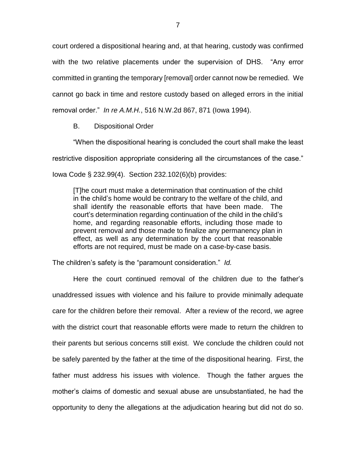court ordered a dispositional hearing and, at that hearing, custody was confirmed with the two relative placements under the supervision of DHS. "Any error committed in granting the temporary [removal] order cannot now be remedied. We cannot go back in time and restore custody based on alleged errors in the initial removal order." *In re A.M.H.*, 516 N.W.2d 867, 871 (Iowa 1994).

B. Dispositional Order

"When the dispositional hearing is concluded the court shall make the least restrictive disposition appropriate considering all the circumstances of the case." Iowa Code § 232.99(4). Section 232.102(6)(b) provides:

[T]he court must make a determination that continuation of the child in the child's home would be contrary to the welfare of the child, and shall identify the reasonable efforts that have been made. The court's determination regarding continuation of the child in the child's home, and regarding reasonable efforts, including those made to prevent removal and those made to finalize any permanency plan in effect, as well as any determination by the court that reasonable efforts are not required, must be made on a case-by-case basis.

The children's safety is the "paramount consideration." *Id.*

Here the court continued removal of the children due to the father's unaddressed issues with violence and his failure to provide minimally adequate care for the children before their removal. After a review of the record, we agree with the district court that reasonable efforts were made to return the children to their parents but serious concerns still exist. We conclude the children could not be safely parented by the father at the time of the dispositional hearing. First, the father must address his issues with violence. Though the father argues the mother's claims of domestic and sexual abuse are unsubstantiated, he had the opportunity to deny the allegations at the adjudication hearing but did not do so.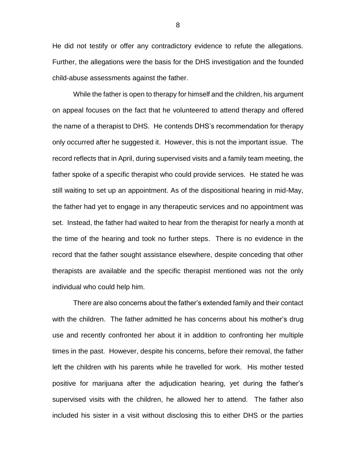He did not testify or offer any contradictory evidence to refute the allegations. Further, the allegations were the basis for the DHS investigation and the founded child-abuse assessments against the father.

While the father is open to therapy for himself and the children, his argument on appeal focuses on the fact that he volunteered to attend therapy and offered the name of a therapist to DHS. He contends DHS's recommendation for therapy only occurred after he suggested it. However, this is not the important issue. The record reflects that in April, during supervised visits and a family team meeting, the father spoke of a specific therapist who could provide services. He stated he was still waiting to set up an appointment. As of the dispositional hearing in mid-May, the father had yet to engage in any therapeutic services and no appointment was set. Instead, the father had waited to hear from the therapist for nearly a month at the time of the hearing and took no further steps. There is no evidence in the record that the father sought assistance elsewhere, despite conceding that other therapists are available and the specific therapist mentioned was not the only individual who could help him.

There are also concerns about the father's extended family and their contact with the children. The father admitted he has concerns about his mother's drug use and recently confronted her about it in addition to confronting her multiple times in the past. However, despite his concerns, before their removal, the father left the children with his parents while he travelled for work. His mother tested positive for marijuana after the adjudication hearing, yet during the father's supervised visits with the children, he allowed her to attend. The father also included his sister in a visit without disclosing this to either DHS or the parties

8